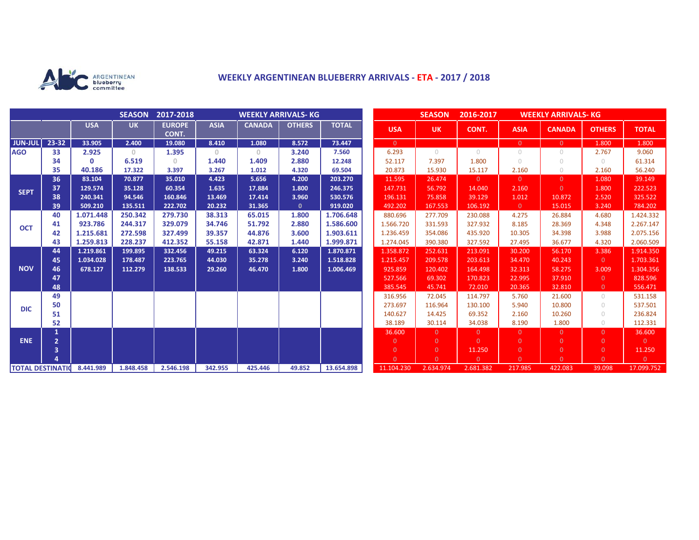

## **WEEKLY ARGENTINEAN BLUEBERRY ARRIVALS - ETA - 2017 / 2018**

|                          |                |              | <b>SEASON</b> | 2017-2018              | <b>WEEKLY ARRIVALS- KG</b>            |               |               |              |  |                | <b>SEASON</b>  | 2016-2017  | <b>WEEKLY ARRIVALS- KG</b> |                |                |                |
|--------------------------|----------------|--------------|---------------|------------------------|---------------------------------------|---------------|---------------|--------------|--|----------------|----------------|------------|----------------------------|----------------|----------------|----------------|
|                          |                | <b>USA</b>   | <b>UK</b>     | <b>EUROPE</b><br>CONT. | <b>ASIA</b>                           | <b>CANADA</b> | <b>OTHERS</b> | <b>TOTAL</b> |  | <b>USA</b>     | <b>UK</b>      | CONT.      | <b>ASIA</b>                | <b>CANADA</b>  | <b>OTHERS</b>  | <b>TOTAL</b>   |
| <b>JUN-JUL</b>           | $23 - 32$      | 33.905       | 2.400         | 19.080                 | 8.410                                 | 1.080         | 8.572         | 73.447       |  | $\overline{0}$ |                |            | $\overline{0}$             | $\Omega$       | 1.800          | 1.800          |
| <b>AGO</b>               | 33             | 2.925        | $\mathbf{0}$  | 1.395                  | $\begin{array}{c} 0 \\ 0 \end{array}$ | $\circ$       | 3.240         | 7.560        |  | 6.293          | $\bigcirc$     | $\bigcirc$ | $\circ$                    | 0              | 2.767          | 9.060          |
|                          | 34             | $\mathbf{0}$ | 6.519         | $\Omega$               | 1.440                                 | 1.409         | 2.880         | 12.248       |  | 52.117         | 7.397          | 1.800      | $\bigcirc$                 | $\bigcirc$     | $\bigcirc$     | 61.314         |
|                          | 35             | 40.186       | 17.322        | 3.397                  | 3.267                                 | 1.012         | 4.320         | 69.504       |  | 20.873         | 15.930         | 15.117     | 2.160                      | $\bigcirc$     | 2.160          | 56.240         |
| <b>SEPT</b>              | 36             | 83.104       | 70.877        | 35.010                 | 4.423                                 | 5.656         | 4.200         | 203.270      |  | 11.595         | 26.474         | $\Omega$   | $\overline{0}$             | $\Omega$       | 1.080          | 39.149         |
|                          | 37             | 129.574      | 35.128        | 60.354                 | 1.635                                 | 17.884        | 1.800         | 246.375      |  | 147.731        | 56.792         | 14.040     | 2.160                      | $\Omega$       | 1.800          | 222.523        |
|                          | 38             | 240.341      | 94.546        | 160.846                | 13.469                                | 17.414        | 3.960         | 530.576      |  | 196.131        | 75.858         | 39.129     | 1.012                      | 10.872         | 2.520          | 325.522        |
|                          | 39             | 509.210      | 135.511       | 222.702                | 20.232                                | 31.365        | $\mathbf{0}$  | 919.020      |  | 492.202        | 167.553        | 106.192    | $\overline{0}$             | 15.015         | 3.240          | 784.202        |
| <b>OCT</b>               | 40             | 1.071.448    | 250.342       | 279.730                | 38.313                                | 65.015        | 1.800         | 1.706.648    |  | 880.696        | 277.709        | 230.088    | 4.275                      | 26.884         | 4.680          | 1.424.332      |
|                          | 41             | 923.786      | 244.317       | 329.079                | 34.746                                | 51.792        | 2.880         | 1.586.600    |  | 1.566.720      | 331.593        | 327.932    | 8.185                      | 28.369         | 4.348          | 2.267.147      |
|                          | 42             | 1.215.681    | 272.598       | 327.499                | 39.357                                | 44.876        | 3.600         | 1.903.611    |  | 1.236.459      | 354.086        | 435.920    | 10.305                     | 34.398         | 3.988          | 2.075.156      |
|                          | 43             | 1.259.813    | 228.237       | 412.352                | 55.158                                | 42.871        | 1.440         | 1.999.871    |  | 1.274.045      | 390.380        | 327.592    | 27.495                     | 36.677         | 4.320          | 2.060.509      |
|                          | 44             | 1.219.861    | 199.895       | 332.456                | 49.215                                | 63.324        | 6.120         | 1.870.871    |  | 1.358.872      | 252.631        | 213.091    | 30.200                     | 56.170         | 3.386          | 1.914.350      |
| <b>NOV</b>               | 45             | 1.034.028    | 178.487       | 223.765                | 44.030                                | 35.278        | 3.240         | 1.518.828    |  | 1.215.457      | 209.578        | 203.613    | 34.470                     | 40.243         | $\overline{0}$ | 1.703.361      |
|                          | 46             | 678.127      | 112.279       | 138.533                | 29.260                                | 46.470        | 1.800         | 1.006.469    |  | 925.859        | 120.402        | 164.498    | 32.313                     | 58.275         | 3.009          | 1.304.356      |
|                          | 47             |              |               |                        |                                       |               |               |              |  | 527.566        | 69.302         | 170.823    | 22.995                     | 37.910         | $\overline{0}$ | 828.596        |
|                          | 48             |              |               |                        |                                       |               |               |              |  | 385.545        | 45.741         | 72.010     | 20.365                     | 32.810         | $\overline{0}$ | 556.471        |
| <b>DIC</b>               | 49             |              |               |                        |                                       |               |               |              |  | 316.956        | 72.045         | 114.797    | 5.760                      | 21.600         | $\cup$         | 531.158        |
|                          | 50             |              |               |                        |                                       |               |               |              |  | 273.697        | 116.964        | 130.100    | 5.940                      | 10.800         | $\bigcirc$     | 537.501        |
|                          | 51             |              |               |                        |                                       |               |               |              |  | 140.627        | 14.425         | 69.352     | 2.160                      | 10.260         | $\bigcirc$     | 236.824        |
|                          | 52             |              |               |                        |                                       |               |               |              |  | 38.189         | 30.114         | 34.038     | 8.190                      | 1.800          | $\bigcirc$     | 112.331        |
| <b>ENE</b>               | 1              |              |               |                        |                                       |               |               |              |  | 36.600         | $\Omega$       | $\Omega$   | $\overline{0}$             | $\Omega$       | $\Omega$       | 36.600         |
|                          | $\overline{2}$ |              |               |                        |                                       |               |               |              |  | $\mathbf{0}$   | $\Omega$       | $\Omega$   | $\overline{0}$             | $\Omega$       | $\Omega$       | $\overline{0}$ |
|                          | 3              |              |               |                        |                                       |               |               |              |  | $\overline{0}$ | $\overline{0}$ | 11.250     | $\overline{0}$             | $\overline{0}$ | $\overline{0}$ | 11.250         |
|                          |                |              |               |                        |                                       |               |               |              |  | $\Omega$       | $\Omega$       | $\Omega$   | $\Omega$                   | $\Omega$       | $\Omega$       | $\overline{0}$ |
| <b>TOTAL DESTINATION</b> |                | 8.441.989    | 1.848.458     | 2.546.198              | 342.955                               | 425.446       | 49.852        | 13.654.898   |  | 11.104.230     | 2.634.974      | 2.681.382  | 217.985                    | 422.083        | 39.098         | 17.099.752     |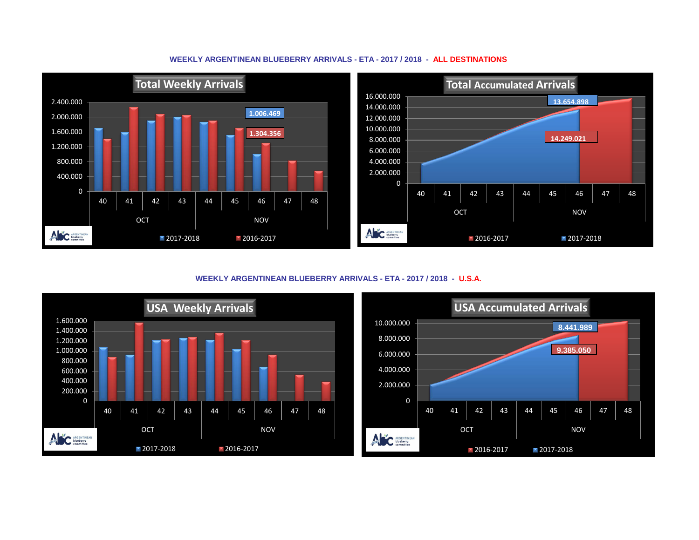

**WEEKLY ARGENTINEAN BLUEBERRY ARRIVALS - ETA - 2017 / 2018 - ALL DESTINATIONS**

**WEEKLY ARGENTINEAN BLUEBERRY ARRIVALS - ETA - 2017 / 2018 - U.S.A.**



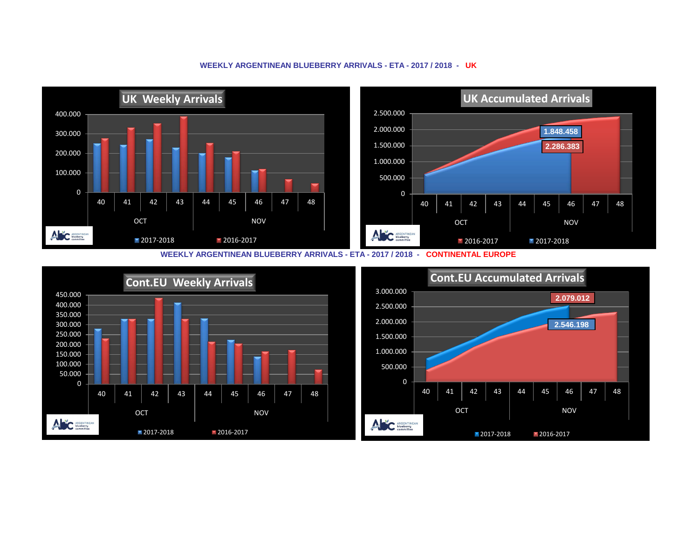## **UK Weekly Arrivals UK Accumulated Arrivals** 2.500.000 400.000 2.000.000 **1.848.458** 300.000 1.500.000 **2.286.383** 200.000 1.000.000 100.000 500.000 0 0 40 | 41 | 42 | 43 | 44 | 45 | 46 | 47 | 48 40 | 41 | 42 | 43 | 44 | 45 | 46 | 47 | 48 OCT NOV OCT NOV ANC ARGENTINEAN ANC ARGENTINEAN 2017-2018 2016-2017 **2016-2017** 2017-2018

## **WEEKLY ARGENTINEAN BLUEBERRY ARRIVALS - ETA - 2017 / 2018 - UK**

**WEEKLY ARGENTINEAN BLUEBERRY ARRIVALS - ETA - 2017 / 2018 - CONTINENTAL EUROPE**